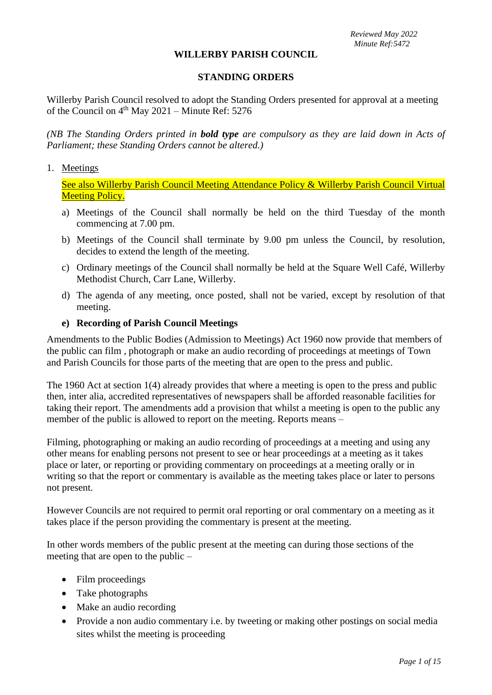*Reviewed May 2022 Minute Ref:5472*

#### **WILLERBY PARISH COUNCIL**

### **STANDING ORDERS**

Willerby Parish Council resolved to adopt the Standing Orders presented for approval at a meeting of the Council on  $4<sup>th</sup>$  May 2021 – Minute Ref: 5276

*(NB The Standing Orders printed in bold type are compulsory as they are laid down in Acts of Parliament; these Standing Orders cannot be altered.)*

#### 1. Meetings

See also Willerby Parish Council Meeting Attendance Policy & Willerby Parish Council Virtual Meeting Policy.

- a) Meetings of the Council shall normally be held on the third Tuesday of the month commencing at 7.00 pm.
- b) Meetings of the Council shall terminate by 9.00 pm unless the Council, by resolution, decides to extend the length of the meeting.
- c) Ordinary meetings of the Council shall normally be held at the Square Well Café, Willerby Methodist Church, Carr Lane, Willerby.
- d) The agenda of any meeting, once posted, shall not be varied, except by resolution of that meeting.

#### **e) Recording of Parish Council Meetings**

Amendments to the Public Bodies (Admission to Meetings) Act 1960 now provide that members of the public can film , photograph or make an audio recording of proceedings at meetings of Town and Parish Councils for those parts of the meeting that are open to the press and public.

The 1960 Act at section 1(4) already provides that where a meeting is open to the press and public then, inter alia, accredited representatives of newspapers shall be afforded reasonable facilities for taking their report. The amendments add a provision that whilst a meeting is open to the public any member of the public is allowed to report on the meeting. Reports means –

Filming, photographing or making an audio recording of proceedings at a meeting and using any other means for enabling persons not present to see or hear proceedings at a meeting as it takes place or later, or reporting or providing commentary on proceedings at a meeting orally or in writing so that the report or commentary is available as the meeting takes place or later to persons not present.

However Councils are not required to permit oral reporting or oral commentary on a meeting as it takes place if the person providing the commentary is present at the meeting.

In other words members of the public present at the meeting can during those sections of the meeting that are open to the public –

- Film proceedings
- Take photographs
- Make an audio recording
- Provide a non audio commentary i.e. by tweeting or making other postings on social media sites whilst the meeting is proceeding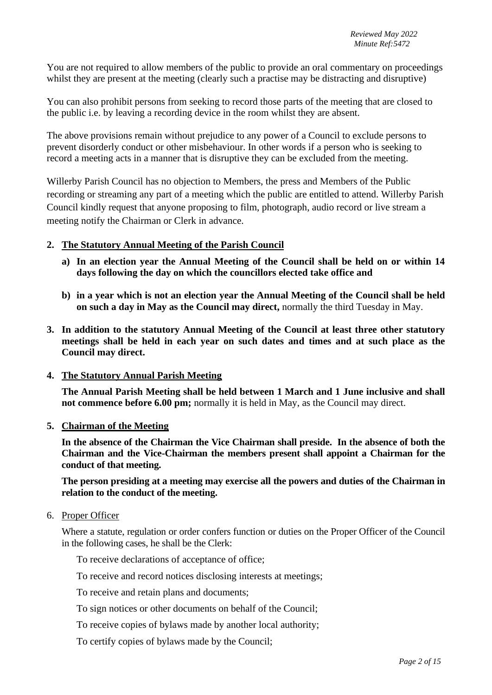You are not required to allow members of the public to provide an oral commentary on proceedings whilst they are present at the meeting (clearly such a practise may be distracting and disruptive)

You can also prohibit persons from seeking to record those parts of the meeting that are closed to the public i.e. by leaving a recording device in the room whilst they are absent.

The above provisions remain without prejudice to any power of a Council to exclude persons to prevent disorderly conduct or other misbehaviour. In other words if a person who is seeking to record a meeting acts in a manner that is disruptive they can be excluded from the meeting.

Willerby Parish Council has no objection to Members, the press and Members of the Public recording or streaming any part of a meeting which the public are entitled to attend. Willerby Parish Council kindly request that anyone proposing to film, photograph, audio record or live stream a meeting notify the Chairman or Clerk in advance.

# **2. The Statutory Annual Meeting of the Parish Council**

- **a) In an election year the Annual Meeting of the Council shall be held on or within 14 days following the day on which the councillors elected take office and**
- **b) in a year which is not an election year the Annual Meeting of the Council shall be held on such a day in May as the Council may direct,** normally the third Tuesday in May.
- **3. In addition to the statutory Annual Meeting of the Council at least three other statutory meetings shall be held in each year on such dates and times and at such place as the Council may direct.**

### **4. The Statutory Annual Parish Meeting**

**The Annual Parish Meeting shall be held between 1 March and 1 June inclusive and shall not commence before 6.00 pm;** normally it is held in May, as the Council may direct.

### **5. Chairman of the Meeting**

**In the absence of the Chairman the Vice Chairman shall preside. In the absence of both the Chairman and the Vice-Chairman the members present shall appoint a Chairman for the conduct of that meeting.**

**The person presiding at a meeting may exercise all the powers and duties of the Chairman in relation to the conduct of the meeting.**

### 6. Proper Officer

Where a statute, regulation or order confers function or duties on the Proper Officer of the Council in the following cases, he shall be the Clerk:

To receive declarations of acceptance of office;

To receive and record notices disclosing interests at meetings;

To receive and retain plans and documents;

To sign notices or other documents on behalf of the Council;

To receive copies of bylaws made by another local authority;

To certify copies of bylaws made by the Council;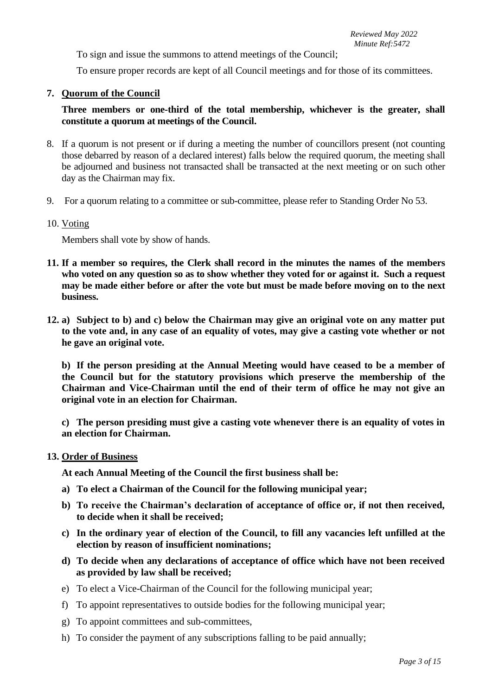To sign and issue the summons to attend meetings of the Council;

To ensure proper records are kept of all Council meetings and for those of its committees.

## **7. Quorum of the Council**

# **Three members or one-third of the total membership, whichever is the greater, shall constitute a quorum at meetings of the Council.**

- 8. If a quorum is not present or if during a meeting the number of councillors present (not counting those debarred by reason of a declared interest) falls below the required quorum, the meeting shall be adjourned and business not transacted shall be transacted at the next meeting or on such other day as the Chairman may fix.
- 9. For a quorum relating to a committee or sub-committee, please refer to Standing Order No 53.

### 10. Voting

Members shall vote by show of hands.

- **11. If a member so requires, the Clerk shall record in the minutes the names of the members who voted on any question so as to show whether they voted for or against it. Such a request may be made either before or after the vote but must be made before moving on to the next business.**
- **12. a) Subject to b) and c) below the Chairman may give an original vote on any matter put to the vote and, in any case of an equality of votes, may give a casting vote whether or not he gave an original vote.**

**b) If the person presiding at the Annual Meeting would have ceased to be a member of the Council but for the statutory provisions which preserve the membership of the Chairman and Vice-Chairman until the end of their term of office he may not give an original vote in an election for Chairman.**

**c) The person presiding must give a casting vote whenever there is an equality of votes in an election for Chairman.**

### **13. Order of Business**

**At each Annual Meeting of the Council the first business shall be:**

- **a) To elect a Chairman of the Council for the following municipal year;**
- **b) To receive the Chairman's declaration of acceptance of office or, if not then received, to decide when it shall be received;**
- **c) In the ordinary year of election of the Council, to fill any vacancies left unfilled at the election by reason of insufficient nominations;**
- **d) To decide when any declarations of acceptance of office which have not been received as provided by law shall be received;**
- e) To elect a Vice-Chairman of the Council for the following municipal year;
- f) To appoint representatives to outside bodies for the following municipal year;
- g) To appoint committees and sub-committees,
- h) To consider the payment of any subscriptions falling to be paid annually;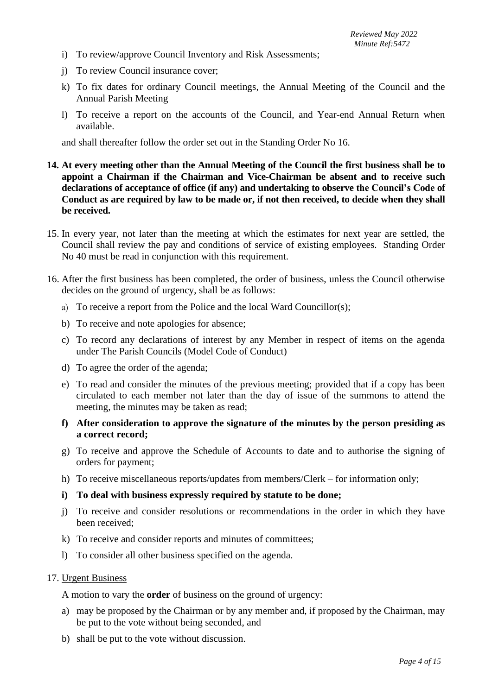- i) To review/approve Council Inventory and Risk Assessments;
- j) To review Council insurance cover;
- k) To fix dates for ordinary Council meetings, the Annual Meeting of the Council and the Annual Parish Meeting
- l) To receive a report on the accounts of the Council, and Year-end Annual Return when available.

and shall thereafter follow the order set out in the Standing Order No 16.

- **14. At every meeting other than the Annual Meeting of the Council the first business shall be to appoint a Chairman if the Chairman and Vice-Chairman be absent and to receive such declarations of acceptance of office (if any) and undertaking to observe the Council's Code of Conduct as are required by law to be made or, if not then received, to decide when they shall be received.**
- 15. In every year, not later than the meeting at which the estimates for next year are settled, the Council shall review the pay and conditions of service of existing employees. Standing Order No 40 must be read in conjunction with this requirement.
- 16. After the first business has been completed, the order of business, unless the Council otherwise decides on the ground of urgency, shall be as follows:
	- a) To receive a report from the Police and the local Ward Councillor(s);
	- b) To receive and note apologies for absence;
	- c) To record any declarations of interest by any Member in respect of items on the agenda under The Parish Councils (Model Code of Conduct)
	- d) To agree the order of the agenda;
	- e) To read and consider the minutes of the previous meeting; provided that if a copy has been circulated to each member not later than the day of issue of the summons to attend the meeting, the minutes may be taken as read;
	- **f) After consideration to approve the signature of the minutes by the person presiding as a correct record;**
	- g) To receive and approve the Schedule of Accounts to date and to authorise the signing of orders for payment;
	- h) To receive miscellaneous reports/updates from members/Clerk for information only;
	- **i) To deal with business expressly required by statute to be done;**
	- j) To receive and consider resolutions or recommendations in the order in which they have been received;
	- k) To receive and consider reports and minutes of committees;
	- l) To consider all other business specified on the agenda.

#### 17. Urgent Business

A motion to vary the **order** of business on the ground of urgency:

- a) may be proposed by the Chairman or by any member and, if proposed by the Chairman, may be put to the vote without being seconded, and
- b) shall be put to the vote without discussion.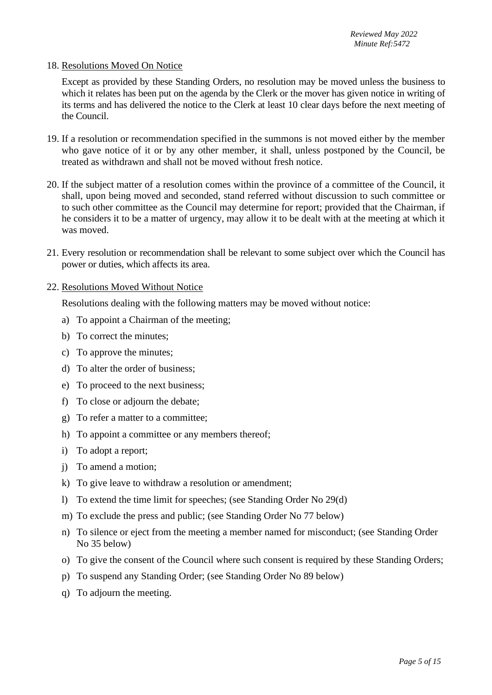#### 18. Resolutions Moved On Notice

Except as provided by these Standing Orders, no resolution may be moved unless the business to which it relates has been put on the agenda by the Clerk or the mover has given notice in writing of its terms and has delivered the notice to the Clerk at least 10 clear days before the next meeting of the Council.

- 19. If a resolution or recommendation specified in the summons is not moved either by the member who gave notice of it or by any other member, it shall, unless postponed by the Council, be treated as withdrawn and shall not be moved without fresh notice.
- 20. If the subject matter of a resolution comes within the province of a committee of the Council, it shall, upon being moved and seconded, stand referred without discussion to such committee or to such other committee as the Council may determine for report; provided that the Chairman, if he considers it to be a matter of urgency, may allow it to be dealt with at the meeting at which it was moved.
- 21. Every resolution or recommendation shall be relevant to some subject over which the Council has power or duties, which affects its area.
- 22. Resolutions Moved Without Notice

Resolutions dealing with the following matters may be moved without notice:

- a) To appoint a Chairman of the meeting;
- b) To correct the minutes;
- c) To approve the minutes;
- d) To alter the order of business;
- e) To proceed to the next business;
- f) To close or adjourn the debate;
- g) To refer a matter to a committee;
- h) To appoint a committee or any members thereof;
- i) To adopt a report;
- j) To amend a motion;
- k) To give leave to withdraw a resolution or amendment;
- l) To extend the time limit for speeches; (see Standing Order No 29(d)
- m) To exclude the press and public; (see Standing Order No 77 below)
- n) To silence or eject from the meeting a member named for misconduct; (see Standing Order No 35 below)
- o) To give the consent of the Council where such consent is required by these Standing Orders;
- p) To suspend any Standing Order; (see Standing Order No 89 below)
- q) To adjourn the meeting.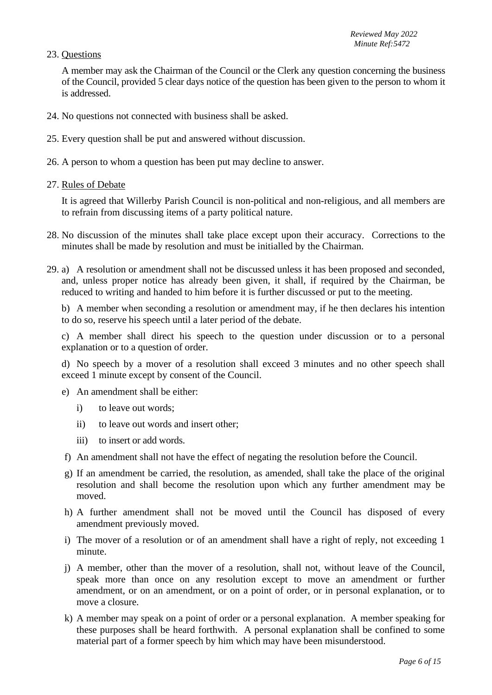### 23. Questions

A member may ask the Chairman of the Council or the Clerk any question concerning the business of the Council, provided 5 clear days notice of the question has been given to the person to whom it is addressed.

- 24. No questions not connected with business shall be asked.
- 25. Every question shall be put and answered without discussion.
- 26. A person to whom a question has been put may decline to answer.
- 27. Rules of Debate

It is agreed that Willerby Parish Council is non-political and non-religious, and all members are to refrain from discussing items of a party political nature.

- 28. No discussion of the minutes shall take place except upon their accuracy. Corrections to the minutes shall be made by resolution and must be initialled by the Chairman.
- 29. a) A resolution or amendment shall not be discussed unless it has been proposed and seconded, and, unless proper notice has already been given, it shall, if required by the Chairman, be reduced to writing and handed to him before it is further discussed or put to the meeting.

b) A member when seconding a resolution or amendment may, if he then declares his intention to do so, reserve his speech until a later period of the debate.

c) A member shall direct his speech to the question under discussion or to a personal explanation or to a question of order.

d) No speech by a mover of a resolution shall exceed 3 minutes and no other speech shall exceed 1 minute except by consent of the Council.

- e) An amendment shall be either:
	- i) to leave out words;
	- ii) to leave out words and insert other;
	- iii) to insert or add words.
- f) An amendment shall not have the effect of negating the resolution before the Council.
- g) If an amendment be carried, the resolution, as amended, shall take the place of the original resolution and shall become the resolution upon which any further amendment may be moved.
- h) A further amendment shall not be moved until the Council has disposed of every amendment previously moved.
- i) The mover of a resolution or of an amendment shall have a right of reply, not exceeding 1 minute.
- j) A member, other than the mover of a resolution, shall not, without leave of the Council, speak more than once on any resolution except to move an amendment or further amendment, or on an amendment, or on a point of order, or in personal explanation, or to move a closure.
- k) A member may speak on a point of order or a personal explanation. A member speaking for these purposes shall be heard forthwith. A personal explanation shall be confined to some material part of a former speech by him which may have been misunderstood.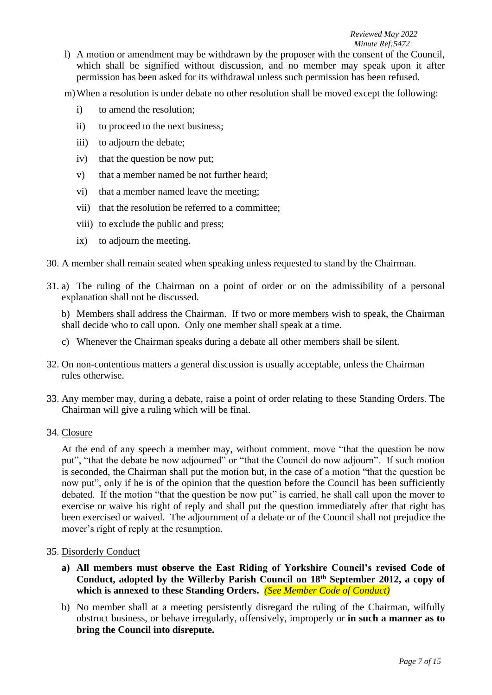#### *Reviewed May 2022 Minute Ref:5472*

- l) A motion or amendment may be withdrawn by the proposer with the consent of the Council, which shall be signified without discussion, and no member may speak upon it after permission has been asked for its withdrawal unless such permission has been refused.
- m)When a resolution is under debate no other resolution shall be moved except the following:
	- i) to amend the resolution;
	- ii) to proceed to the next business;
	- iii) to adjourn the debate:
	- iv) that the question be now put;
	- v) that a member named be not further heard;
	- vi) that a member named leave the meeting;
	- vii) that the resolution be referred to a committee;
	- viii) to exclude the public and press;
	- ix) to adjourn the meeting.
- 30. A member shall remain seated when speaking unless requested to stand by the Chairman.
- 31. a) The ruling of the Chairman on a point of order or on the admissibility of a personal explanation shall not be discussed.

b) Members shall address the Chairman. If two or more members wish to speak, the Chairman shall decide who to call upon. Only one member shall speak at a time.

- c) Whenever the Chairman speaks during a debate all other members shall be silent.
- 32. On non-contentious matters a general discussion is usually acceptable, unless the Chairman rules otherwise.
- 33. Any member may, during a debate, raise a point of order relating to these Standing Orders. The Chairman will give a ruling which will be final.
- 34. Closure

At the end of any speech a member may, without comment, move "that the question be now put", "that the debate be now adjourned" or "that the Council do now adjourn". If such motion is seconded, the Chairman shall put the motion but, in the case of a motion "that the question be now put", only if he is of the opinion that the question before the Council has been sufficiently debated. If the motion "that the question be now put" is carried, he shall call upon the mover to exercise or waive his right of reply and shall put the question immediately after that right has been exercised or waived. The adjournment of a debate or of the Council shall not prejudice the mover's right of reply at the resumption.

### 35. Disorderly Conduct

- **a) All members must observe the East Riding of Yorkshire Council's revised Code of Conduct, adopted by the Willerby Parish Council on 18th September 2012, a copy of which is annexed to these Standing Orders.** *(See Member Code of Conduct)*
- b) No member shall at a meeting persistently disregard the ruling of the Chairman, wilfully obstruct business, or behave irregularly, offensively, improperly or **in such a manner as to bring the Council into disrepute.**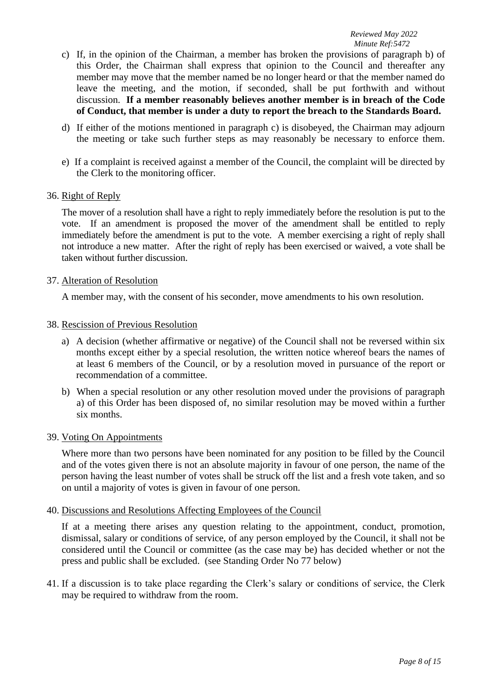- c) If, in the opinion of the Chairman, a member has broken the provisions of paragraph b) of this Order, the Chairman shall express that opinion to the Council and thereafter any member may move that the member named be no longer heard or that the member named do leave the meeting, and the motion, if seconded, shall be put forthwith and without discussion. **If a member reasonably believes another member is in breach of the Code of Conduct, that member is under a duty to report the breach to the Standards Board.**
- d) If either of the motions mentioned in paragraph c) is disobeyed, the Chairman may adjourn the meeting or take such further steps as may reasonably be necessary to enforce them.
- e) If a complaint is received against a member of the Council, the complaint will be directed by the Clerk to the monitoring officer.

### 36. Right of Reply

The mover of a resolution shall have a right to reply immediately before the resolution is put to the vote. If an amendment is proposed the mover of the amendment shall be entitled to reply immediately before the amendment is put to the vote. A member exercising a right of reply shall not introduce a new matter. After the right of reply has been exercised or waived, a vote shall be taken without further discussion.

#### 37. Alteration of Resolution

A member may, with the consent of his seconder, move amendments to his own resolution.

#### 38. Rescission of Previous Resolution

- a) A decision (whether affirmative or negative) of the Council shall not be reversed within six months except either by a special resolution, the written notice whereof bears the names of at least 6 members of the Council, or by a resolution moved in pursuance of the report or recommendation of a committee.
- b) When a special resolution or any other resolution moved under the provisions of paragraph a) of this Order has been disposed of, no similar resolution may be moved within a further six months.

### 39. Voting On Appointments

Where more than two persons have been nominated for any position to be filled by the Council and of the votes given there is not an absolute majority in favour of one person, the name of the person having the least number of votes shall be struck off the list and a fresh vote taken, and so on until a majority of votes is given in favour of one person.

### 40. Discussions and Resolutions Affecting Employees of the Council

If at a meeting there arises any question relating to the appointment, conduct, promotion, dismissal, salary or conditions of service, of any person employed by the Council, it shall not be considered until the Council or committee (as the case may be) has decided whether or not the press and public shall be excluded. (see Standing Order No 77 below)

41. If a discussion is to take place regarding the Clerk's salary or conditions of service, the Clerk may be required to withdraw from the room.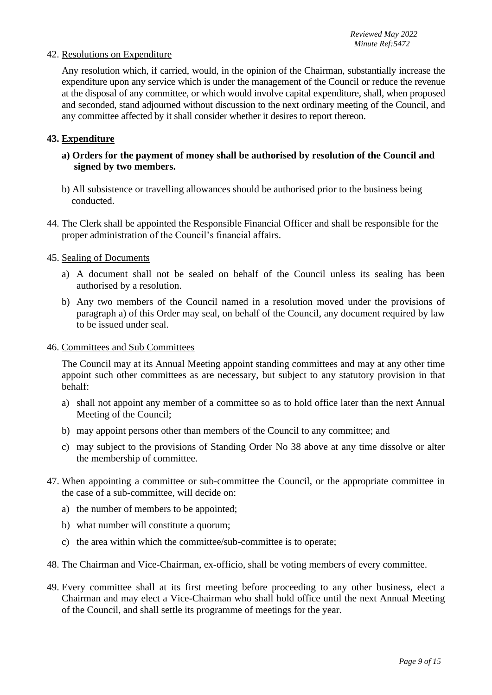#### 42. Resolutions on Expenditure

Any resolution which, if carried, would, in the opinion of the Chairman, substantially increase the expenditure upon any service which is under the management of the Council or reduce the revenue at the disposal of any committee, or which would involve capital expenditure, shall, when proposed and seconded, stand adjourned without discussion to the next ordinary meeting of the Council, and any committee affected by it shall consider whether it desires to report thereon.

#### **43. Expenditure**

## **a) Orders for the payment of money shall be authorised by resolution of the Council and signed by two members.**

- b) All subsistence or travelling allowances should be authorised prior to the business being conducted.
- 44. The Clerk shall be appointed the Responsible Financial Officer and shall be responsible for the proper administration of the Council's financial affairs.

#### 45. Sealing of Documents

- a) A document shall not be sealed on behalf of the Council unless its sealing has been authorised by a resolution.
- b) Any two members of the Council named in a resolution moved under the provisions of paragraph a) of this Order may seal, on behalf of the Council, any document required by law to be issued under seal.

#### 46. Committees and Sub Committees

The Council may at its Annual Meeting appoint standing committees and may at any other time appoint such other committees as are necessary, but subject to any statutory provision in that behalf:

- a) shall not appoint any member of a committee so as to hold office later than the next Annual Meeting of the Council;
- b) may appoint persons other than members of the Council to any committee; and
- c) may subject to the provisions of Standing Order No 38 above at any time dissolve or alter the membership of committee.
- 47. When appointing a committee or sub-committee the Council, or the appropriate committee in the case of a sub-committee, will decide on:
	- a) the number of members to be appointed;
	- b) what number will constitute a quorum;
	- c) the area within which the committee/sub-committee is to operate;
- 48. The Chairman and Vice-Chairman, ex-officio, shall be voting members of every committee.
- 49. Every committee shall at its first meeting before proceeding to any other business, elect a Chairman and may elect a Vice-Chairman who shall hold office until the next Annual Meeting of the Council, and shall settle its programme of meetings for the year.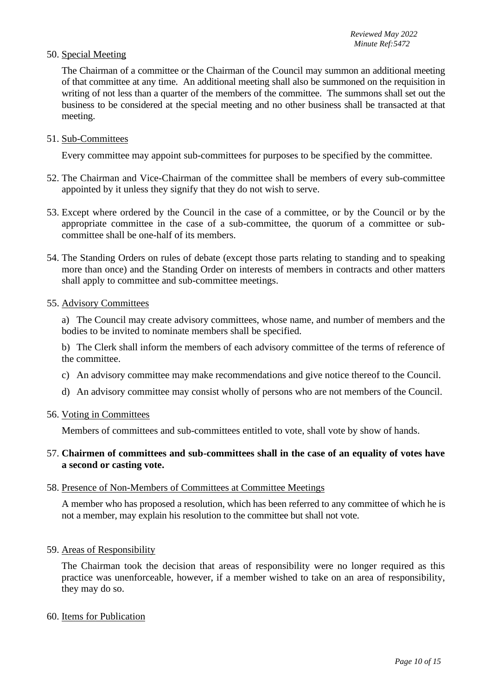### 50. Special Meeting

The Chairman of a committee or the Chairman of the Council may summon an additional meeting of that committee at any time. An additional meeting shall also be summoned on the requisition in writing of not less than a quarter of the members of the committee. The summons shall set out the business to be considered at the special meeting and no other business shall be transacted at that meeting.

51. Sub-Committees

Every committee may appoint sub-committees for purposes to be specified by the committee.

- 52. The Chairman and Vice-Chairman of the committee shall be members of every sub-committee appointed by it unless they signify that they do not wish to serve.
- 53. Except where ordered by the Council in the case of a committee, or by the Council or by the appropriate committee in the case of a sub-committee, the quorum of a committee or subcommittee shall be one-half of its members.
- 54. The Standing Orders on rules of debate (except those parts relating to standing and to speaking more than once) and the Standing Order on interests of members in contracts and other matters shall apply to committee and sub-committee meetings.

#### 55. Advisory Committees

a) The Council may create advisory committees, whose name, and number of members and the bodies to be invited to nominate members shall be specified.

b) The Clerk shall inform the members of each advisory committee of the terms of reference of the committee.

- c) An advisory committee may make recommendations and give notice thereof to the Council.
- d) An advisory committee may consist wholly of persons who are not members of the Council.
- 56. Voting in Committees

Members of committees and sub-committees entitled to vote, shall vote by show of hands.

#### 57. **Chairmen of committees and sub-committees shall in the case of an equality of votes have a second or casting vote.**

#### 58. Presence of Non-Members of Committees at Committee Meetings

A member who has proposed a resolution, which has been referred to any committee of which he is not a member, may explain his resolution to the committee but shall not vote.

59. Areas of Responsibility

The Chairman took the decision that areas of responsibility were no longer required as this practice was unenforceable, however, if a member wished to take on an area of responsibility, they may do so.

#### 60. Items for Publication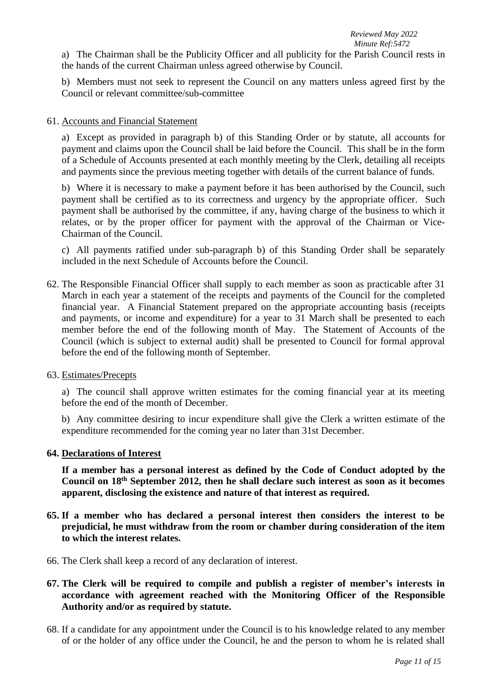a) The Chairman shall be the Publicity Officer and all publicity for the Parish Council rests in the hands of the current Chairman unless agreed otherwise by Council.

b) Members must not seek to represent the Council on any matters unless agreed first by the Council or relevant committee/sub-committee

## 61. Accounts and Financial Statement

a) Except as provided in paragraph b) of this Standing Order or by statute, all accounts for payment and claims upon the Council shall be laid before the Council. This shall be in the form of a Schedule of Accounts presented at each monthly meeting by the Clerk, detailing all receipts and payments since the previous meeting together with details of the current balance of funds.

b) Where it is necessary to make a payment before it has been authorised by the Council, such payment shall be certified as to its correctness and urgency by the appropriate officer. Such payment shall be authorised by the committee, if any, having charge of the business to which it relates, or by the proper officer for payment with the approval of the Chairman or Vice-Chairman of the Council.

c) All payments ratified under sub-paragraph b) of this Standing Order shall be separately included in the next Schedule of Accounts before the Council.

62. The Responsible Financial Officer shall supply to each member as soon as practicable after 31 March in each year a statement of the receipts and payments of the Council for the completed financial year. A Financial Statement prepared on the appropriate accounting basis (receipts and payments, or income and expenditure) for a year to 31 March shall be presented to each member before the end of the following month of May. The Statement of Accounts of the Council (which is subject to external audit) shall be presented to Council for formal approval before the end of the following month of September.

### 63. Estimates/Precepts

a) The council shall approve written estimates for the coming financial year at its meeting before the end of the month of December.

b) Any committee desiring to incur expenditure shall give the Clerk a written estimate of the expenditure recommended for the coming year no later than 31st December.

### **64. Declarations of Interest**

**If a member has a personal interest as defined by the Code of Conduct adopted by the Council on 18th September 2012, then he shall declare such interest as soon as it becomes apparent, disclosing the existence and nature of that interest as required.**

- **65. If a member who has declared a personal interest then considers the interest to be prejudicial, he must withdraw from the room or chamber during consideration of the item to which the interest relates.**
- 66. The Clerk shall keep a record of any declaration of interest.
- **67. The Clerk will be required to compile and publish a register of member's interests in accordance with agreement reached with the Monitoring Officer of the Responsible Authority and/or as required by statute.**
- 68. If a candidate for any appointment under the Council is to his knowledge related to any member of or the holder of any office under the Council, he and the person to whom he is related shall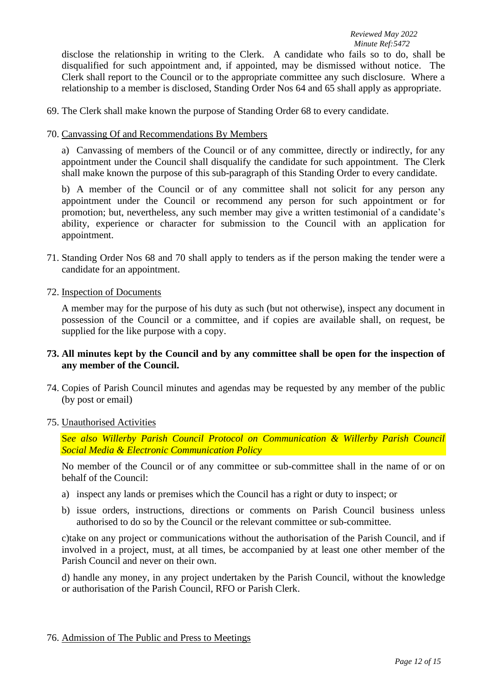disclose the relationship in writing to the Clerk. A candidate who fails so to do, shall be disqualified for such appointment and, if appointed, may be dismissed without notice. The Clerk shall report to the Council or to the appropriate committee any such disclosure. Where a relationship to a member is disclosed, Standing Order Nos 64 and 65 shall apply as appropriate.

- 69. The Clerk shall make known the purpose of Standing Order 68 to every candidate.
- 70. Canvassing Of and Recommendations By Members

a) Canvassing of members of the Council or of any committee, directly or indirectly, for any appointment under the Council shall disqualify the candidate for such appointment. The Clerk shall make known the purpose of this sub-paragraph of this Standing Order to every candidate.

b) A member of the Council or of any committee shall not solicit for any person any appointment under the Council or recommend any person for such appointment or for promotion; but, nevertheless, any such member may give a written testimonial of a candidate's ability, experience or character for submission to the Council with an application for appointment.

71. Standing Order Nos 68 and 70 shall apply to tenders as if the person making the tender were a candidate for an appointment.

#### 72. Inspection of Documents

A member may for the purpose of his duty as such (but not otherwise), inspect any document in possession of the Council or a committee, and if copies are available shall, on request, be supplied for the like purpose with a copy.

# **73. All minutes kept by the Council and by any committee shall be open for the inspection of any member of the Council.**

74. Copies of Parish Council minutes and agendas may be requested by any member of the public (by post or email)

### 75. Unauthorised Activities

S*ee also Willerby Parish Council Protocol on Communication & Willerby Parish Council Social Media & Electronic Communication Policy*

No member of the Council or of any committee or sub-committee shall in the name of or on behalf of the Council:

- a) inspect any lands or premises which the Council has a right or duty to inspect; or
- b) issue orders, instructions, directions or comments on Parish Council business unless authorised to do so by the Council or the relevant committee or sub-committee.

c)take on any project or communications without the authorisation of the Parish Council, and if involved in a project, must, at all times, be accompanied by at least one other member of the Parish Council and never on their own.

d) handle any money, in any project undertaken by the Parish Council, without the knowledge or authorisation of the Parish Council, RFO or Parish Clerk.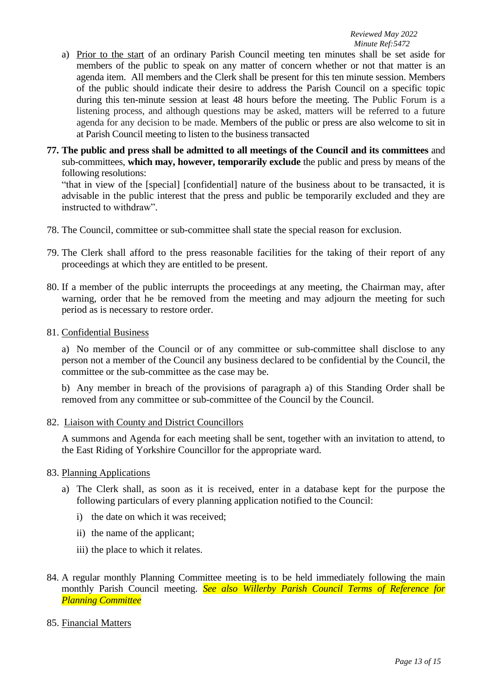- a) Prior to the start of an ordinary Parish Council meeting ten minutes shall be set aside for members of the public to speak on any matter of concern whether or not that matter is an agenda item. All members and the Clerk shall be present for this ten minute session. Members of the public should indicate their desire to address the Parish Council on a specific topic during this ten-minute session at least 48 hours before the meeting. The Public Forum is a listening process, and although questions may be asked, matters will be referred to a future agenda for any decision to be made. Members of the public or press are also welcome to sit in at Parish Council meeting to listen to the business transacted
- **77. The public and press shall be admitted to all meetings of the Council and its committees** and sub-committees, **which may, however, temporarily exclude** the public and press by means of the following resolutions:

"that in view of the [special] [confidential] nature of the business about to be transacted, it is advisable in the public interest that the press and public be temporarily excluded and they are instructed to withdraw".

- 78. The Council, committee or sub-committee shall state the special reason for exclusion.
- 79. The Clerk shall afford to the press reasonable facilities for the taking of their report of any proceedings at which they are entitled to be present.
- 80. If a member of the public interrupts the proceedings at any meeting, the Chairman may, after warning, order that he be removed from the meeting and may adjourn the meeting for such period as is necessary to restore order.
- 81. Confidential Business

a) No member of the Council or of any committee or sub-committee shall disclose to any person not a member of the Council any business declared to be confidential by the Council, the committee or the sub-committee as the case may be.

b) Any member in breach of the provisions of paragraph a) of this Standing Order shall be removed from any committee or sub-committee of the Council by the Council.

82. Liaison with County and District Councillors

A summons and Agenda for each meeting shall be sent, together with an invitation to attend, to the East Riding of Yorkshire Councillor for the appropriate ward.

- 83. Planning Applications
	- a) The Clerk shall, as soon as it is received, enter in a database kept for the purpose the following particulars of every planning application notified to the Council:
		- i) the date on which it was received;
		- ii) the name of the applicant;
		- iii) the place to which it relates.
- 84. A regular monthly Planning Committee meeting is to be held immediately following the main monthly Parish Council meeting. *See also Willerby Parish Council Terms of Reference for Planning Committee*
- 85. Financial Matters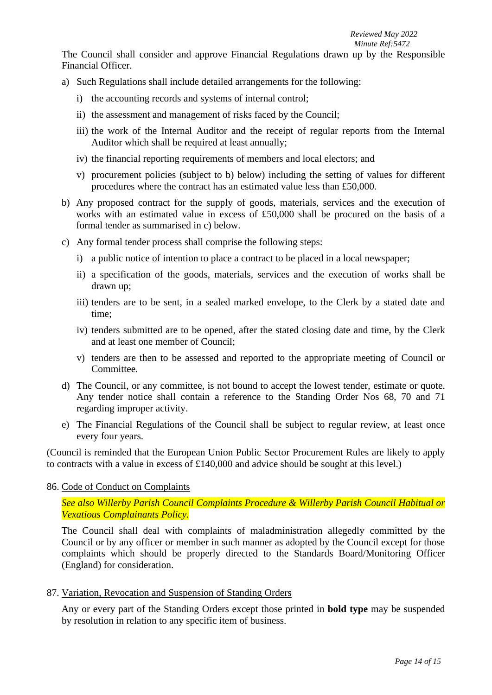*Reviewed May 2022 Minute Ref:5472*

The Council shall consider and approve Financial Regulations drawn up by the Responsible Financial Officer.

- a) Such Regulations shall include detailed arrangements for the following:
	- i) the accounting records and systems of internal control;
	- ii) the assessment and management of risks faced by the Council;
	- iii) the work of the Internal Auditor and the receipt of regular reports from the Internal Auditor which shall be required at least annually:
	- iv) the financial reporting requirements of members and local electors; and
	- v) procurement policies (subject to b) below) including the setting of values for different procedures where the contract has an estimated value less than £50,000.
- b) Any proposed contract for the supply of goods, materials, services and the execution of works with an estimated value in excess of £50,000 shall be procured on the basis of a formal tender as summarised in c) below.
- c) Any formal tender process shall comprise the following steps:
	- i) a public notice of intention to place a contract to be placed in a local newspaper;
	- ii) a specification of the goods, materials, services and the execution of works shall be drawn up;
	- iii) tenders are to be sent, in a sealed marked envelope, to the Clerk by a stated date and time;
	- iv) tenders submitted are to be opened, after the stated closing date and time, by the Clerk and at least one member of Council;
	- v) tenders are then to be assessed and reported to the appropriate meeting of Council or Committee.
- d) The Council, or any committee, is not bound to accept the lowest tender, estimate or quote. Any tender notice shall contain a reference to the Standing Order Nos 68, 70 and 71 regarding improper activity.
- e) The Financial Regulations of the Council shall be subject to regular review, at least once every four years.

(Council is reminded that the European Union Public Sector Procurement Rules are likely to apply to contracts with a value in excess of £140,000 and advice should be sought at this level.)

# 86. Code of Conduct on Complaints

*See also Willerby Parish Council Complaints Procedure & Willerby Parish Council Habitual or Vexatious Complainants Policy.*

The Council shall deal with complaints of maladministration allegedly committed by the Council or by any officer or member in such manner as adopted by the Council except for those complaints which should be properly directed to the Standards Board/Monitoring Officer (England) for consideration.

87. Variation, Revocation and Suspension of Standing Orders

Any or every part of the Standing Orders except those printed in **bold type** may be suspended by resolution in relation to any specific item of business.